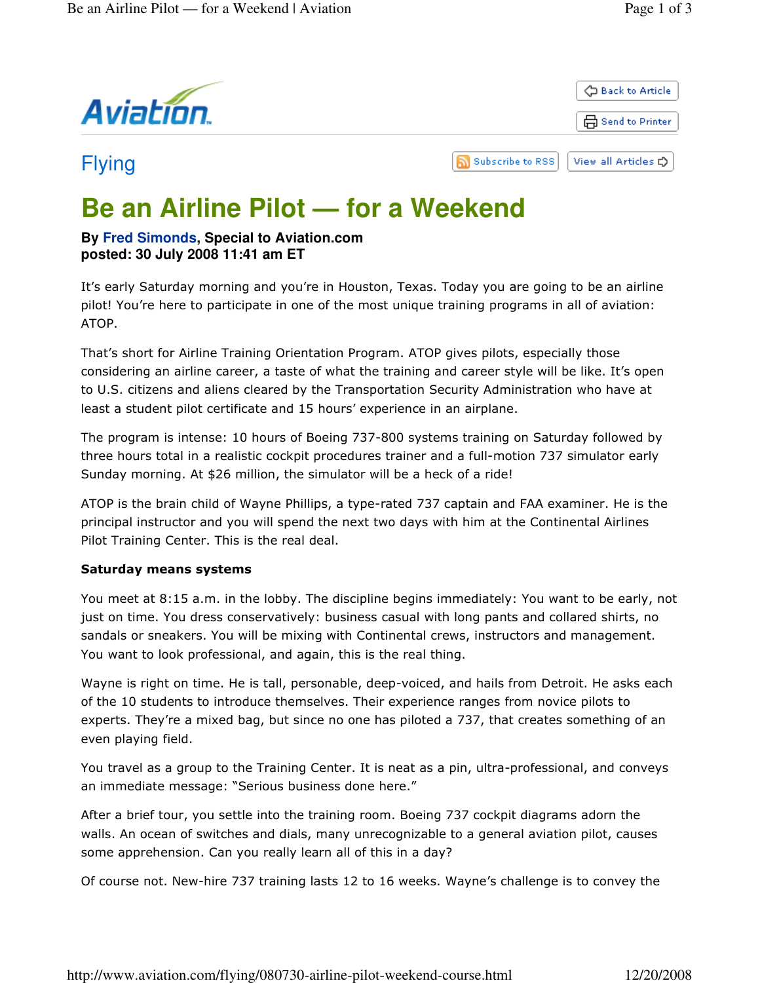

# **Be an Airline Pilot — for a Weekend**

## **By Fred Simonds, Special to Aviation.com posted: 30 July 2008 11:41 am ET**

It's early Saturday morning and you're in Houston, Texas. Today you are going to be an airline pilot! You're here to participate in one of the most unique training programs in all of aviation: ATOP.

That's short for Airline Training Orientation Program. ATOP gives pilots, especially those considering an airline career, a taste of what the training and career style will be like. It's open to U.S. citizens and aliens cleared by the Transportation Security Administration who have at least a student pilot certificate and 15 hours' experience in an airplane.

The program is intense: 10 hours of Boeing 737-800 systems training on Saturday followed by three hours total in a realistic cockpit procedures trainer and a full-motion 737 simulator early Sunday morning. At \$26 million, the simulator will be a heck of a ride!

ATOP is the brain child of Wayne Phillips, a type-rated 737 captain and FAA examiner. He is the principal instructor and you will spend the next two days with him at the Continental Airlines Pilot Training Center. This is the real deal.

## Saturday means systems

You meet at 8:15 a.m. in the lobby. The discipline begins immediately: You want to be early, not just on time. You dress conservatively: business casual with long pants and collared shirts, no sandals or sneakers. You will be mixing with Continental crews, instructors and management. You want to look professional, and again, this is the real thing.

Wayne is right on time. He is tall, personable, deep-voiced, and hails from Detroit. He asks each of the 10 students to introduce themselves. Their experience ranges from novice pilots to experts. They're a mixed bag, but since no one has piloted a 737, that creates something of an even playing field.

You travel as a group to the Training Center. It is neat as a pin, ultra-professional, and conveys an immediate message: "Serious business done here."

After a brief tour, you settle into the training room. Boeing 737 cockpit diagrams adorn the walls. An ocean of switches and dials, many unrecognizable to a general aviation pilot, causes some apprehension. Can you really learn all of this in a day?

Of course not. New-hire 737 training lasts 12 to 16 weeks. Wayne's challenge is to convey the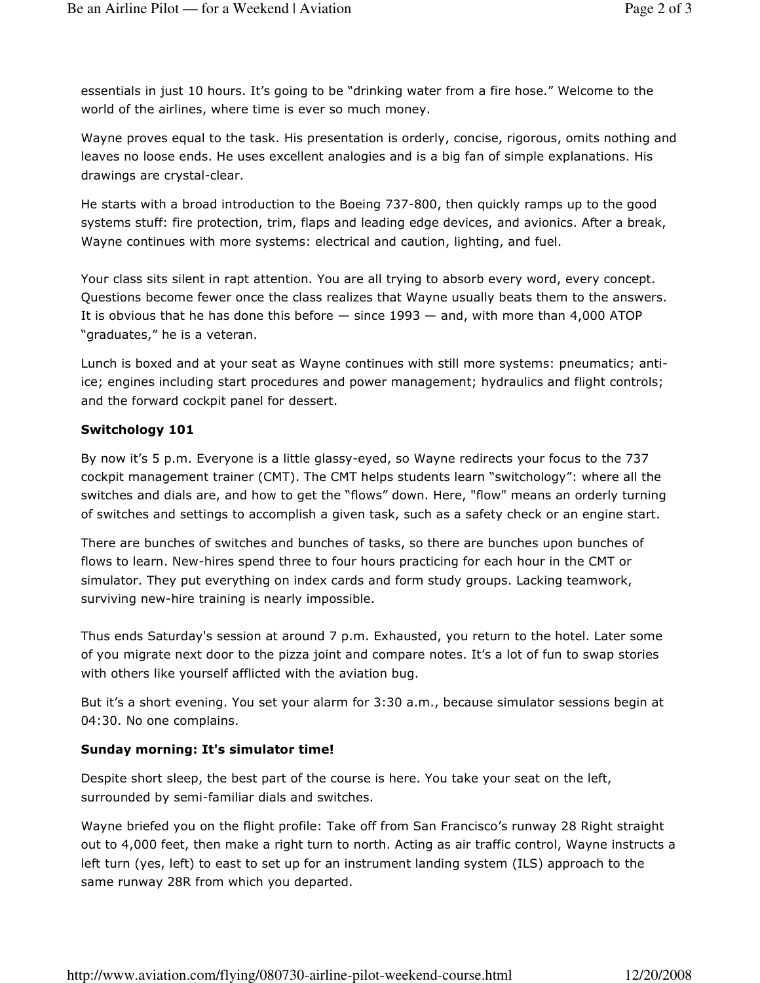essentials in just 10 hours. It's going to be "drinking water from a fire hose." Welcome to the world of the airlines, where time is ever so much money.

Wayne proves equal to the task. His presentation is orderly, concise, rigorous, omits nothing and leaves no loose ends. He uses excellent analogies and is a big fan of simple explanations. His drawings are crystal-clear.

He starts with a broad introduction to the Boeing 737-800, then quickly ramps up to the good systems stuff: fire protection, trim, flaps and leading edge devices, and avionics. After a break, Wayne continues with more systems: electrical and caution, lighting, and fuel.

Your class sits silent in rapt attention. You are all trying to absorb every word, every concept. Questions become fewer once the class realizes that Wayne usually beats them to the answers. It is obvious that he has done this before  $-$  since 1993  $-$  and, with more than 4,000 ATOP "graduates," he is a veteran.

Lunch is boxed and at your seat as Wayne continues with still more systems: pneumatics; antiice; engines including start procedures and power management; hydraulics and flight controls; and the forward cockpit panel for dessert.

### Switchology 101

By now it's 5 p.m. Everyone is a little glassy-eyed, so Wayne redirects your focus to the 737 cockpit management trainer (CMT). The CMT helps students learn "switchology": where all the switches and dials are, and how to get the "flows" down. Here, "flow" means an orderly turning of switches and settings to accomplish a given task, such as a safety check or an engine start.

There are bunches of switches and bunches of tasks, so there are bunches upon bunches of flows to learn. New-hires spend three to four hours practicing for each hour in the CMT or simulator. They put everything on index cards and form study groups. Lacking teamwork, surviving new-hire training is nearly impossible.

Thus ends Saturday's session at around 7 p.m. Exhausted, you return to the hotel. Later some of you migrate next door to the pizza joint and compare notes. It's a lot of fun to swap stories with others like yourself afflicted with the aviation bug.

But it's a short evening. You set your alarm for 3:30 a.m., because simulator sessions begin at 04:30. No one complains.

### Sunday morning: It's simulator time!

Despite short sleep, the best part of the course is here. You take your seat on the left, surrounded by semi-familiar dials and switches.

Wayne briefed you on the flight profile: Take off from San Francisco's runway 28 Right straight out to 4,000 feet, then make a right turn to north. Acting as air traffic control, Wayne instructs a left turn (yes, left) to east to set up for an instrument landing system (ILS) approach to the same runway 28R from which you departed.